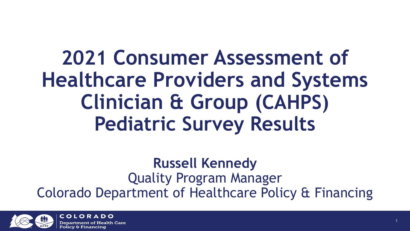**2021 Consumer Assessment of Healthcare Providers and Systems Clinician & Group (CAHPS) Pediatric Survey Results**

**Russell Kennedy** Quality Program Manager Colorado Department of Healthcare Policy & Financing



COLORADO ealth Care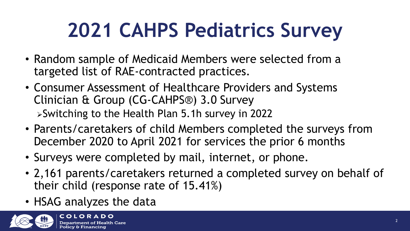# **2021 CAHPS Pediatrics Survey**

- Random sample of Medicaid Members were selected from a targeted list of RAE-contracted practices.
- Consumer Assessment of Healthcare Providers and Systems Clinician & Group (CG-CAHPS®) 3.0 Survey Switching to the Health Plan 5.1h survey in 2022
- Parents/caretakers of child Members completed the surveys from December 2020 to April 2021 for services the prior 6 months
- Surveys were completed by mail, internet, or phone.
- 2,161 parents/caretakers returned a completed survey on behalf of their child (response rate of 15.41%)
- HSAG analyzes the data

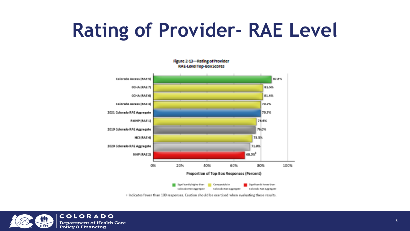### **Rating of Provider- RAE Level**



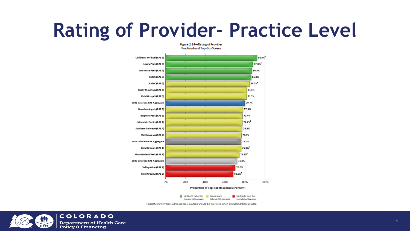#### **Rating of Provider- Practice Level**

Figure 2-14-Rating of Provider



Colorado RAE Aggregate Colorado RAE Aggregate Colorado RAE Aggregate

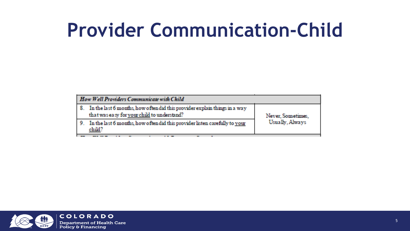#### **Provider Communication-Child**

| How Well Providers Communicate with Child                                                                                   |                   |
|-----------------------------------------------------------------------------------------------------------------------------|-------------------|
| 8. In the last 6 months, how often did this provider explain things in a way<br>that was easy for your child to understand? | Never, Sometimes, |
| 9. In the last 6 months, how often did this provider listen carefully to your<br>child?                                     | Usually, Always   |

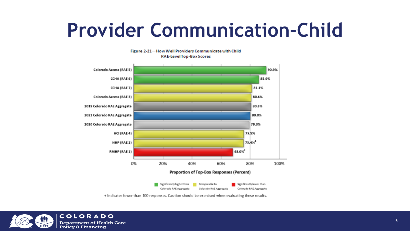#### **Provider Communication-Child**



Figure 2-21-How Well Providers Communicate with Child RAE-LevelTop-BoxScores

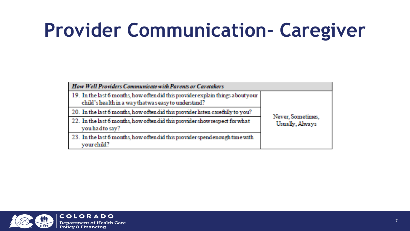# **Provider Communication- Caregiver**

| How Well Providers Communicate with Parents or Caretakers                                                                                |                                      |  |  |  |  |
|------------------------------------------------------------------------------------------------------------------------------------------|--------------------------------------|--|--|--|--|
| 19. In the last 6 months, how often did this provider explain things a bout your<br>child's health in a way that was easy to understand? |                                      |  |  |  |  |
| 20. In the last 6 months, how often did this provider listen carefully to you?                                                           |                                      |  |  |  |  |
| 22. In the last 6 months, how often did this provider show respect for what<br>you had to say?                                           | Never, Sometimes,<br>Usually, Always |  |  |  |  |
| 23. In the last 6 months, how often did this provider spendenough time with<br>vour child?                                               |                                      |  |  |  |  |

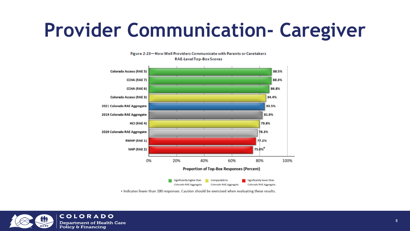#### **Provider Communication- Caregiver**



Figure 2-23-How Well Providers Communicate with Parents or Caretakers RAE-LevelTop-Box Scores

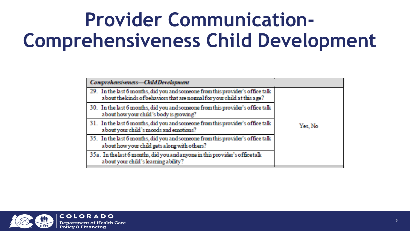### **Provider Communication-Comprehensiveness Child Development**

| Comprehensiveness-ChildDevelopment                                                                                                                         |          |
|------------------------------------------------------------------------------------------------------------------------------------------------------------|----------|
| 29. In the last 6 months, did you and someone from this provider's office talk<br>about the kinds of behaviors that are normal for your child at this age? |          |
| 30. In the last 6 months, did you and someone from this provider's office talk<br>about how your child's body is growing?                                  |          |
| 31. In the last 6 months, did you and someone from this provider's office talk<br>about your child's moods and emotions?                                   | Yes, No. |
| 35. In the last 6 months, did you and someone from this provider's office talk<br>about how your child gets along with others?                             |          |
| 35a. In the last 6 months, did you and anyone in this provider's office talk<br>about your child's learning ability?                                       |          |

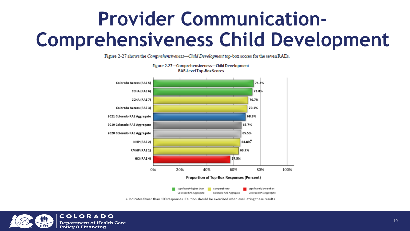#### **Provider Communication-Comprehensiveness Child Development**

Figure 2-27 shows the Comprehensiveness-Child Development top-box scores for the seven RAEs.

Figure 2-27-Comprehensiveness-Child Development



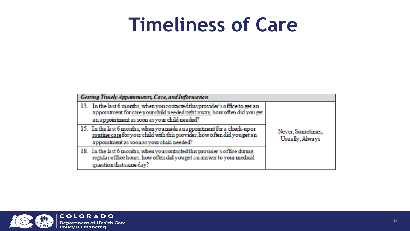#### **Timeliness of Care**

| <b>Getting Timely Appointments, Care, and Information</b>                                                                                                                                                 |                                      |
|-----------------------------------------------------------------------------------------------------------------------------------------------------------------------------------------------------------|--------------------------------------|
| 13. In the last 6 months, when you contacted this provider's office to get an<br>appointment for care your child needed right away, how often did you get<br>an appointment as soon as your child needed? |                                      |
| 15. In the last 6 months, when you made a nappointment for a check-up or<br>routine care for your child with this provider, how often did you get an<br>appointment as soon as your child needed?         | Never, Sometimes,<br>Usually, Always |
| 18. In the last 6 months, when you contacted this provider's office during<br>regular office hours, how often did you get an answer to your medical<br>questionthat same day?                             |                                      |

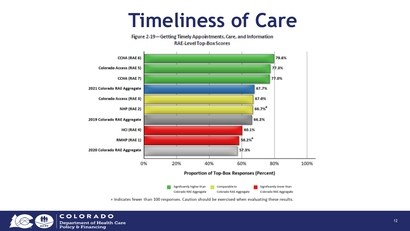#### **Timeliness of Care**

Figure 2-19-Getting Timely Appointments, Care, and Information **RAE-Level Top-Box Scores** 



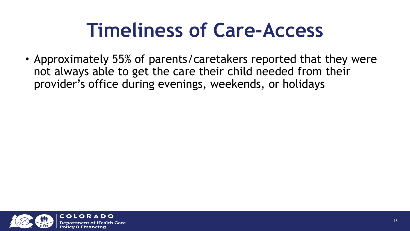# **Timeliness of Care-Access**

• Approximately 55% of parents/caretakers reported that they were not always able to get the care their child needed from their provider's office during evenings, weekends, or holidays

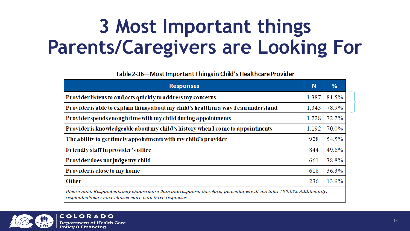#### **3 Most Important things Parents/Caregivers are Looking For**

Table 2-36—Most Important Things in Child's Healthcare Provider

| <b>Responses</b>                                                                                                                                                                  | N     | %     |
|-----------------------------------------------------------------------------------------------------------------------------------------------------------------------------------|-------|-------|
| Provider listens to and acts quickly to address my concerns                                                                                                                       | 1,387 | 81.5% |
| Provider is able to explain things about my child's health in a way I can understand                                                                                              | 1.343 | 78.9% |
| Provider spends enough time with my child during appointments                                                                                                                     | 1,228 | 72.2% |
| Provider is knowledgeable about my child's history when I come to appointments                                                                                                    | 1,192 | 70.0% |
| The ability to get timely appointments with my child's provider                                                                                                                   | 928   | 54.5% |
| Friendly staff in provider's office                                                                                                                                               | 844   | 49.6% |
| Provider does not judge my child                                                                                                                                                  | 661   | 38.8% |
| Provider is close to my home                                                                                                                                                      | 618   | 36.3% |
| <b>Other</b>                                                                                                                                                                      | 236   | 13.9% |
| Please note: Respondents may choose more than one response; therefore, percentages will not total 100.0%. Additionally,<br>respondents may have chosen more than three responses. |       |       |

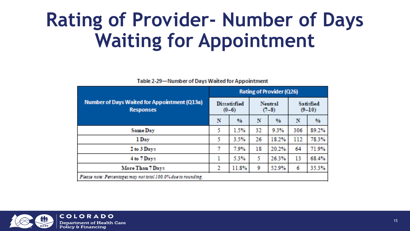#### **Rating of Provider- Number of Days Waiting for Appointment**

| <b>Number of Days Waited for Appointment (Q13a)</b><br><b>Responses</b> |   | <b>Rating of Provider (Q26)</b> |    |                           |     |                              |  |  |  |
|-------------------------------------------------------------------------|---|---------------------------------|----|---------------------------|-----|------------------------------|--|--|--|
|                                                                         |   | <b>Dissatisfied</b><br>$(0-6)$  |    | <b>Neutral</b><br>$(7-8)$ |     | <b>Satisfied</b><br>$(9-10)$ |  |  |  |
|                                                                         |   | $\frac{96}{9}$                  | N  | $\%$                      | N   | %.                           |  |  |  |
| <b>Same Day</b>                                                         | 5 | 1.5%                            | 32 | 9.3%                      | 306 | 89.2%                        |  |  |  |
| 1 Day                                                                   | 5 | 3.5%                            | 26 | 18.2%                     | 112 | 78.3%                        |  |  |  |
| 2 to 3 Days                                                             | 7 | 7.9%                            | 18 | 20.2%                     | 64  | 71.9%                        |  |  |  |
| 4 to 7 Days                                                             |   | 5.3%                            | 5. | 26.3%                     | 13  | 68.4%                        |  |  |  |
| More Than 7 Days                                                        | 2 | 11.8%                           | 9  | 52.9%                     | 6   | 35.3%                        |  |  |  |
| Please note: Percentages may not total 100.0% due to rounding.          |   |                                 |    |                           |     |                              |  |  |  |

Table 2-29-Number of Days Waited for Appointment

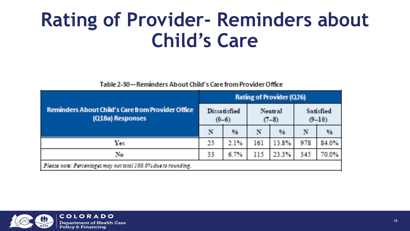#### **Rating of Provider- Reminders about Child's Care**

#### Table 2-30-Reminders About Child's Care from Provider Office

| <b>Reminders About Child's Care from Provider Office</b><br>(Q18a) Responses |    | <b>Rating of Provider (Q26)</b>  |     |                    |     |                              |  |  |  |
|------------------------------------------------------------------------------|----|----------------------------------|-----|--------------------|-----|------------------------------|--|--|--|
|                                                                              |    | <b>Dissatisfied</b><br>$(0 - 6)$ |     | Neutral<br>$(7-8)$ |     | <b>Satisfied</b><br>$(9-10)$ |  |  |  |
|                                                                              | N  | $\frac{9}{6}$                    | N   | %                  | N   | %                            |  |  |  |
| Yes                                                                          | 25 | 2.1%                             | 161 | 13.8%              | 978 | 84.0%                        |  |  |  |
| No                                                                           | 33 | 6.7%                             | 115 | 23.3%              | 345 | 70.0%                        |  |  |  |
| Please note: Percentages may not total 100.0% due to rounding.               |    |                                  |     |                    |     |                              |  |  |  |

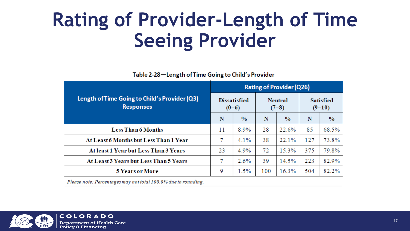#### **Rating of Provider-Length of Time Seeing Provider**

Table 2-28-Length of Time Going to Child's Provider

| Length of Time Going to Child's Provider (Q3)<br><b>Responses</b> |    | <b>Rating of Provider (Q26)</b> |     |                           |     |                              |  |  |  |
|-------------------------------------------------------------------|----|---------------------------------|-----|---------------------------|-----|------------------------------|--|--|--|
|                                                                   |    | <b>Dissatisfied</b><br>$(0-6)$  |     | <b>Neutral</b><br>$(7-8)$ |     | <b>Satisfied</b><br>$(9-10)$ |  |  |  |
|                                                                   |    | $\frac{0}{0}$                   | N   | $\frac{0}{0}$             | N   | $\frac{0}{0}$                |  |  |  |
| <b>Less Than 6 Months</b>                                         | 11 | 8.9%                            | 28  | 22.6%                     | 85  | 68.5%                        |  |  |  |
| At Least 6 Months but Less Than 1 Year                            | 7  | 4.1%                            | 38  | 22.1%                     | 127 | 73.8%                        |  |  |  |
| At least 1 Year but Less Than 3 Years                             | 23 | 4.9%                            | 72  | 15.3%                     | 375 | 79.8%                        |  |  |  |
| At Least 3 Years but Less Than 5 Years                            | 7  | 2.6%                            | 39  | 14.5%                     | 223 | 82.9%                        |  |  |  |
| <b>5 Years or More</b>                                            | 9  | 1.5%                            | 100 | 16.3%                     | 504 | 82.2%                        |  |  |  |
| Please note: Percentages may not total 100.0% due to rounding.    |    |                                 |     |                           |     |                              |  |  |  |

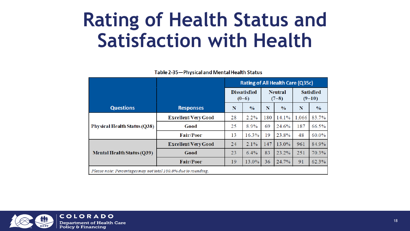#### **Rating of Health Status and Satisfaction with Health**

Table 2-35-Physical and Mental Health Status

|                                                                |                            | Rating of All Health Care (Q35c) |               |                           |               |                              |               |  |
|----------------------------------------------------------------|----------------------------|----------------------------------|---------------|---------------------------|---------------|------------------------------|---------------|--|
|                                                                |                            | <b>Dissatisfied</b><br>$(0-6)$   |               | <b>Neutral</b><br>$(7-8)$ |               | <b>Satisfied</b><br>$(9-10)$ |               |  |
| <b>Questions</b>                                               | <b>Responses</b>           | N                                | $\frac{0}{0}$ | N                         | $\frac{0}{0}$ | N                            | $\frac{0}{0}$ |  |
|                                                                | <b>Excellent/Very Good</b> | 28                               | 2.2%          | 180                       | 14.1%         | 1,066                        | 83.7%         |  |
| <b>Physical Health Status (Q38)</b>                            | Good                       | 25                               | 8.9%          | 69                        | 24.6%         | 187                          | 66.5%         |  |
|                                                                | <b>Fair/Poor</b>           | 13                               | 16.3%         | 19                        | 23.8%         | 48                           | 60.0%         |  |
|                                                                | <b>Excellent/Very Good</b> | 24                               | 2.1%          | 147                       | 13.0%         | 961                          | 84.9%         |  |
| <b>Mental Health Status (Q39)</b>                              | Good                       | 23                               | 6.4%          | 83                        | $23.2\%$      | 251                          | 70.3%         |  |
|                                                                | <b>Fair/Poor</b>           | 19                               | 13.0%         | 36                        | 24.7%         | 91                           | 62.3%         |  |
| Please note: Percentages may not total 100.0% due to rounding. |                            |                                  |               |                           |               |                              |               |  |

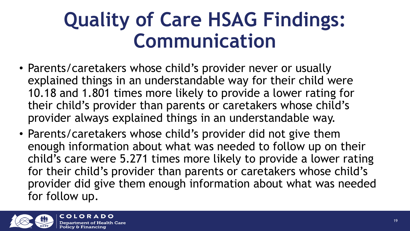#### **Quality of Care HSAG Findings: Communication**

- Parents/caretakers whose child's provider never or usually explained things in an understandable way for their child were 10.18 and 1.801 times more likely to provide a lower rating for their child's provider than parents or caretakers whose child's provider always explained things in an understandable way.
- Parents/caretakers whose child's provider did not give them enough information about what was needed to follow up on their child's care were 5.271 times more likely to provide a lower rating for their child's provider than parents or caretakers whose child's provider did give them enough information about what was needed for follow up.

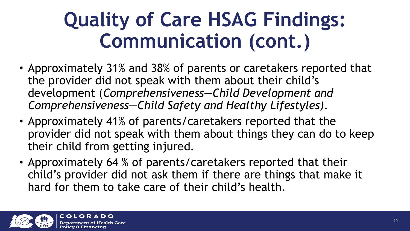# **Quality of Care HSAG Findings: Communication (cont.)**

- Approximately 31% and 38% of parents or caretakers reported that the provider did not speak with them about their child's development (*Comprehensiveness—Child Development and Comprehensiveness—Child Safety and Healthy Lifestyles).*
- Approximately 41% of parents/caretakers reported that the provider did not speak with them about things they can do to keep their child from getting injured.
- Approximately 64 % of parents/caretakers reported that their child's provider did not ask them if there are things that make it hard for them to take care of their child's health.

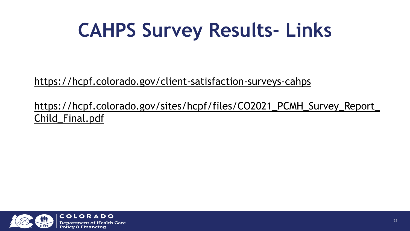# **CAHPS Survey Results- Links**

<https://hcpf.colorado.gov/client-satisfaction-surveys-cahps>

[https://hcpf.colorado.gov/sites/hcpf/files/CO2021\\_PCMH\\_Survey\\_Report\\_](https://urldefense.proofpoint.com/v2/url?u=https-3A__hcpf.colorado.gov_sites_hcpf_files_CO2021-5FPCMH-5FSurvey-5FReport-5FChild-5FFinal.pdf&d=DwMFaQ&c=sdnEM9SRGFuMt5z5w3AhsPNahmNicq64TgF1JwNR0cs&r=3kBBcFpr8ht-f_R_pYdLzG2roiIu8iNCnKAS-L9XtLI&m=_6JAHKuqeJEJSjw_1JY8O7lT0etza7RIuElakkOe9JrcxAHxmjkPtpj6H3m0a_0S&s=-A_EhXN1zfS4gn3NtKE1Xbk8PbCWAJOIgrkwcErwPHo&e=) Child\_Final.pdf